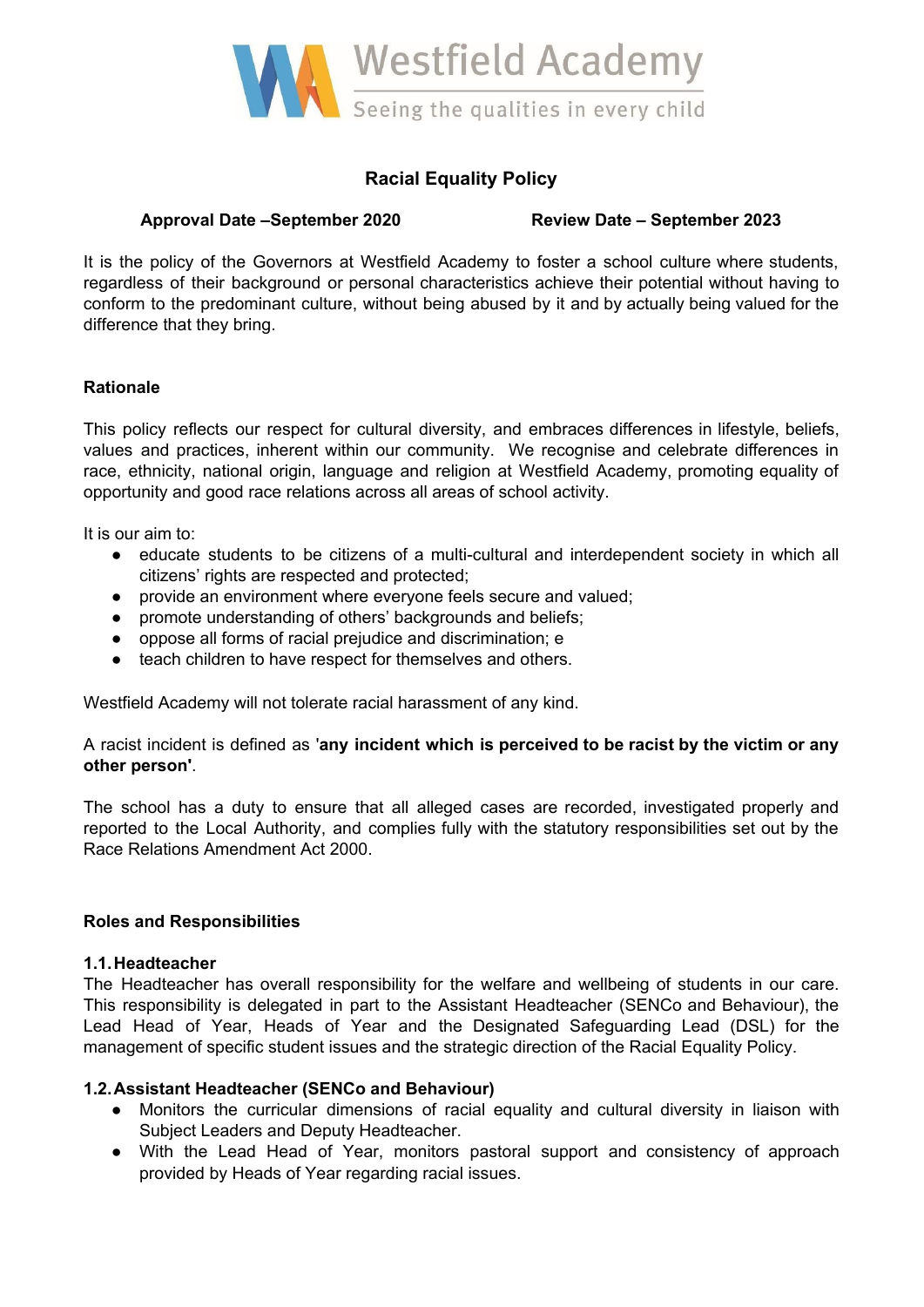

# **Racial Equality Policy**

# **Approval Date –September 2020 Review Date – September 2023**

It is the policy of the Governors at Westfield Academy to foster a school culture where students, regardless of their background or personal characteristics achieve their potential without having to conform to the predominant culture, without being abused by it and by actually being valued for the difference that they bring.

# **Rationale**

This policy reflects our respect for cultural diversity, and embraces differences in lifestyle, beliefs, values and practices, inherent within our community. We recognise and celebrate differences in race, ethnicity, national origin, language and religion at Westfield Academy, promoting equality of opportunity and good race relations across all areas of school activity.

It is our aim to:

- educate students to be citizens of a multi-cultural and interdependent society in which all citizens' rights are respected and protected;
- provide an environment where everyone feels secure and valued;
- promote understanding of others' backgrounds and beliefs;
- oppose all forms of racial prejudice and discrimination; e
- teach children to have respect for themselves and others.

Westfield Academy will not tolerate racial harassment of any kind.

A racist incident is defined as '**any incident which is perceived to be racist by the victim or any other person'**.

The school has a duty to ensure that all alleged cases are recorded, investigated properly and reported to the Local Authority, and complies fully with the statutory responsibilities set out by the Race Relations Amendment Act 2000.

# **Roles and Responsibilities**

# **1.1.Headteacher**

The Headteacher has overall responsibility for the welfare and wellbeing of students in our care. This responsibility is delegated in part to the Assistant Headteacher (SENCo and Behaviour), the Lead Head of Year, Heads of Year and the Designated Safeguarding Lead (DSL) for the management of specific student issues and the strategic direction of the Racial Equality Policy.

# **1.2.Assistant Headteacher (SENCo and Behaviour)**

- **●** Monitors the curricular dimensions of racial equality and cultural diversity in liaison with Subject Leaders and Deputy Headteacher.
- **●** With the Lead Head of Year, monitors pastoral support and consistency of approach provided by Heads of Year regarding racial issues.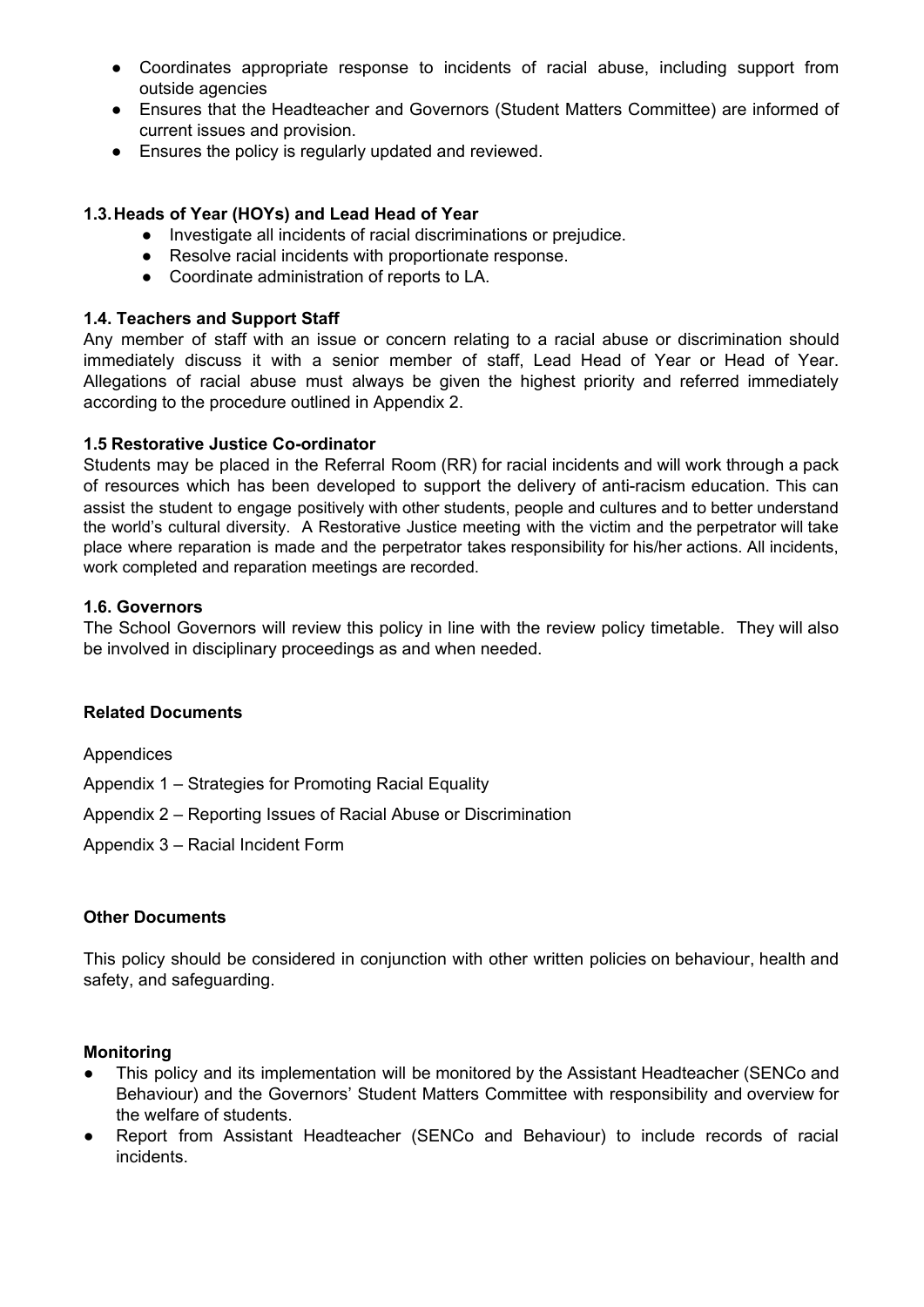- **●** Coordinates appropriate response to incidents of racial abuse, including support from outside agencies
- **●** Ensures that the Headteacher and Governors (Student Matters Committee) are informed of current issues and provision.
- **●** Ensures the policy is regularly updated and reviewed.

# **1.3.Heads of Year (HOYs) and Lead Head of Year**

- **●** Investigate all incidents of racial discriminations or prejudice.
- **●** Resolve racial incidents with proportionate response.
- **●** Coordinate administration of reports to LA.

# **1.4. Teachers and Support Staff**

Any member of staff with an issue or concern relating to a racial abuse or discrimination should immediately discuss it with a senior member of staff, Lead Head of Year or Head of Year. Allegations of racial abuse must always be given the highest priority and referred immediately according to the procedure outlined in Appendix 2.

# **1.5 Restorative Justice Co-ordinator**

Students may be placed in the Referral Room (RR) for racial incidents and will work through a pack of resources which has been developed to support the delivery of anti-racism education. This can assist the student to engage positively with other students, people and cultures and to better understand the world's cultural diversity. A Restorative Justice meeting with the victim and the perpetrator will take place where reparation is made and the perpetrator takes responsibility for his/her actions. All incidents, work completed and reparation meetings are recorded.

# **1.6. Governors**

The School Governors will review this policy in line with the review policy timetable. They will also be involved in disciplinary proceedings as and when needed.

# **Related Documents**

Appendices

- Appendix 1 Strategies for Promoting Racial Equality
- Appendix 2 Reporting Issues of Racial Abuse or Discrimination
- Appendix 3 Racial Incident Form

# **Other Documents**

This policy should be considered in conjunction with other written policies on behaviour, health and safety, and safeguarding.

# **Monitoring**

- This policy and its implementation will be monitored by the Assistant Headteacher (SENCo and Behaviour) and the Governors' Student Matters Committee with responsibility and overview for the welfare of students.
- Report from Assistant Headteacher (SENCo and Behaviour) to include records of racial incidents.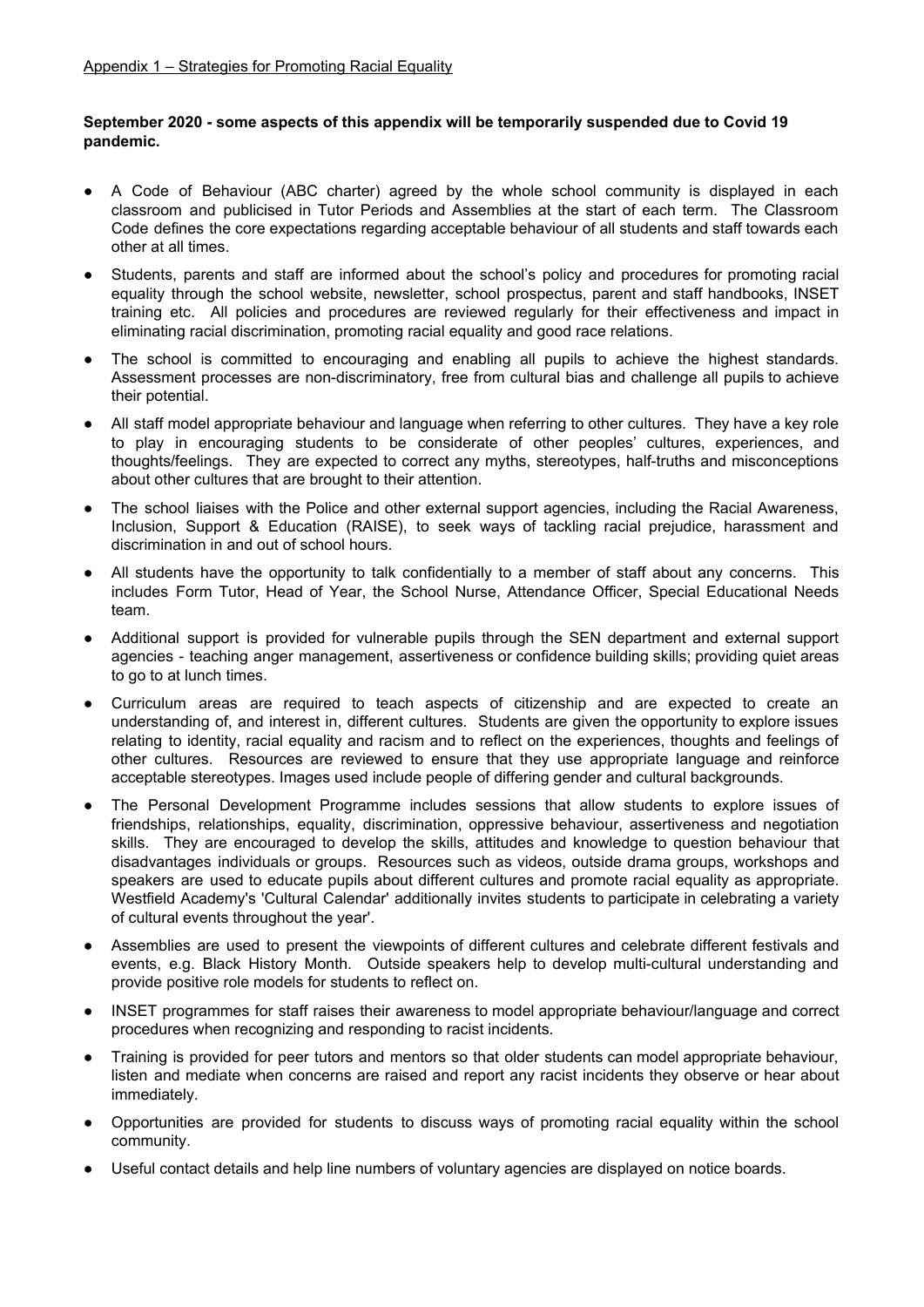#### **September 2020 - some aspects of this appendix will be temporarily suspended due to Covid 19 pandemic.**

- A Code of Behaviour (ABC charter) agreed by the whole school community is displayed in each classroom and publicised in Tutor Periods and Assemblies at the start of each term. The Classroom Code defines the core expectations regarding acceptable behaviour of all students and staff towards each other at all times.
- Students, parents and staff are informed about the school's policy and procedures for promoting racial equality through the school website, newsletter, school prospectus, parent and staff handbooks, INSET training etc. All policies and procedures are reviewed regularly for their effectiveness and impact in eliminating racial discrimination, promoting racial equality and good race relations.
- The school is committed to encouraging and enabling all pupils to achieve the highest standards. Assessment processes are non-discriminatory, free from cultural bias and challenge all pupils to achieve their potential.
- All staff model appropriate behaviour and language when referring to other cultures. They have a key role to play in encouraging students to be considerate of other peoples' cultures, experiences, and thoughts/feelings. They are expected to correct any myths, stereotypes, half-truths and misconceptions about other cultures that are brought to their attention.
- The school liaises with the Police and other external support agencies, including the Racial Awareness, Inclusion, Support & Education (RAISE), to seek ways of tackling racial prejudice, harassment and discrimination in and out of school hours.
- All students have the opportunity to talk confidentially to a member of staff about any concerns. This includes Form Tutor, Head of Year, the School Nurse, Attendance Officer, Special Educational Needs team.
- Additional support is provided for vulnerable pupils through the SEN department and external support agencies - teaching anger management, assertiveness or confidence building skills; providing quiet areas to go to at lunch times.
- Curriculum areas are required to teach aspects of citizenship and are expected to create an understanding of, and interest in, different cultures. Students are given the opportunity to explore issues relating to identity, racial equality and racism and to reflect on the experiences, thoughts and feelings of other cultures. Resources are reviewed to ensure that they use appropriate language and reinforce acceptable stereotypes. Images used include people of differing gender and cultural backgrounds.
- The Personal Development Programme includes sessions that allow students to explore issues of friendships, relationships, equality, discrimination, oppressive behaviour, assertiveness and negotiation skills. They are encouraged to develop the skills, attitudes and knowledge to question behaviour that disadvantages individuals or groups. Resources such as videos, outside drama groups, workshops and speakers are used to educate pupils about different cultures and promote racial equality as appropriate. Westfield Academy's 'Cultural Calendar' additionally invites students to participate in celebrating a variety of cultural events throughout the year'.
- Assemblies are used to present the viewpoints of different cultures and celebrate different festivals and events, e.g. Black History Month. Outside speakers help to develop multi-cultural understanding and provide positive role models for students to reflect on.
- INSET programmes for staff raises their awareness to model appropriate behaviour/language and correct procedures when recognizing and responding to racist incidents.
- Training is provided for peer tutors and mentors so that older students can model appropriate behaviour, listen and mediate when concerns are raised and report any racist incidents they observe or hear about immediately.
- Opportunities are provided for students to discuss ways of promoting racial equality within the school community.
- Useful contact details and help line numbers of voluntary agencies are displayed on notice boards.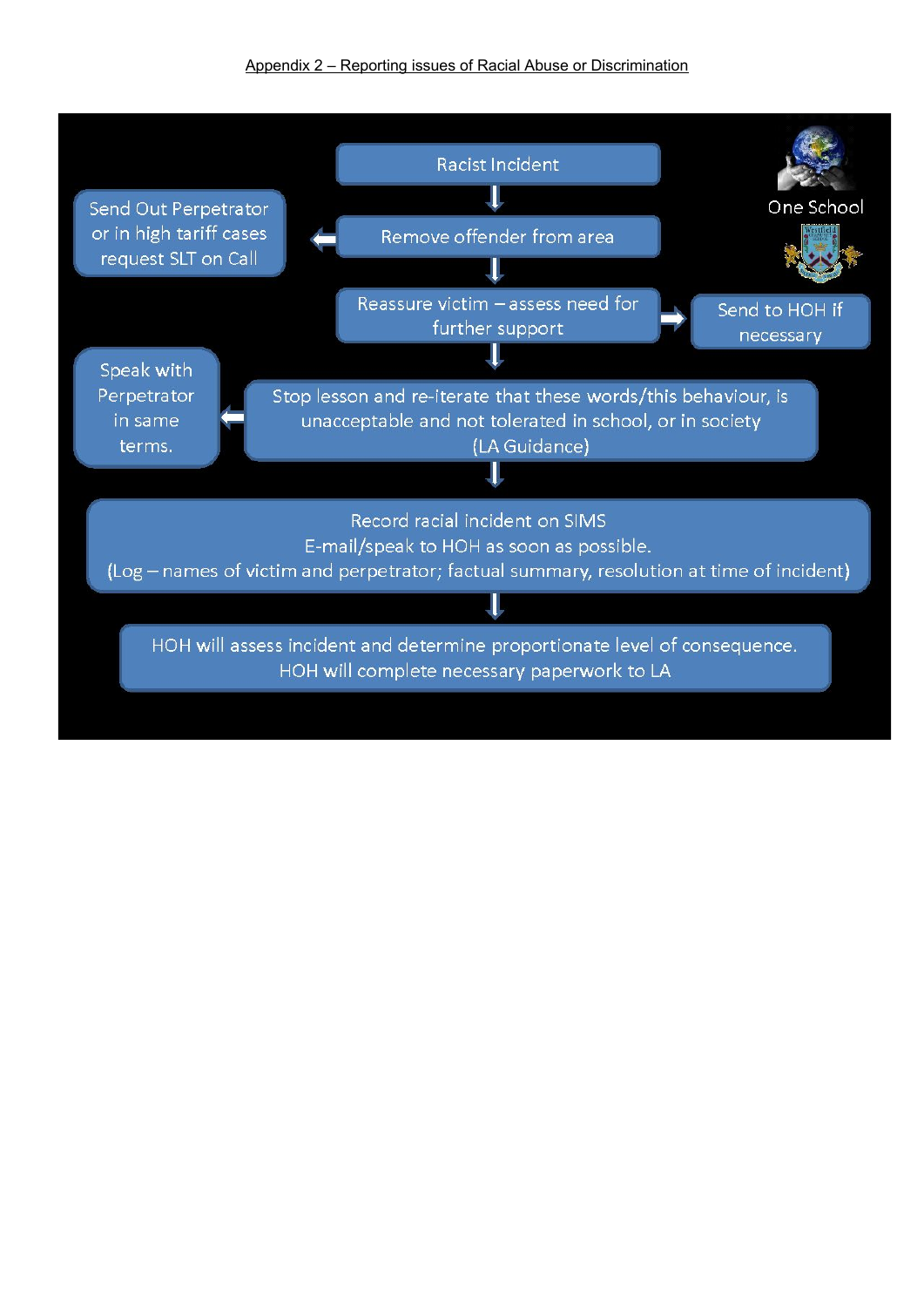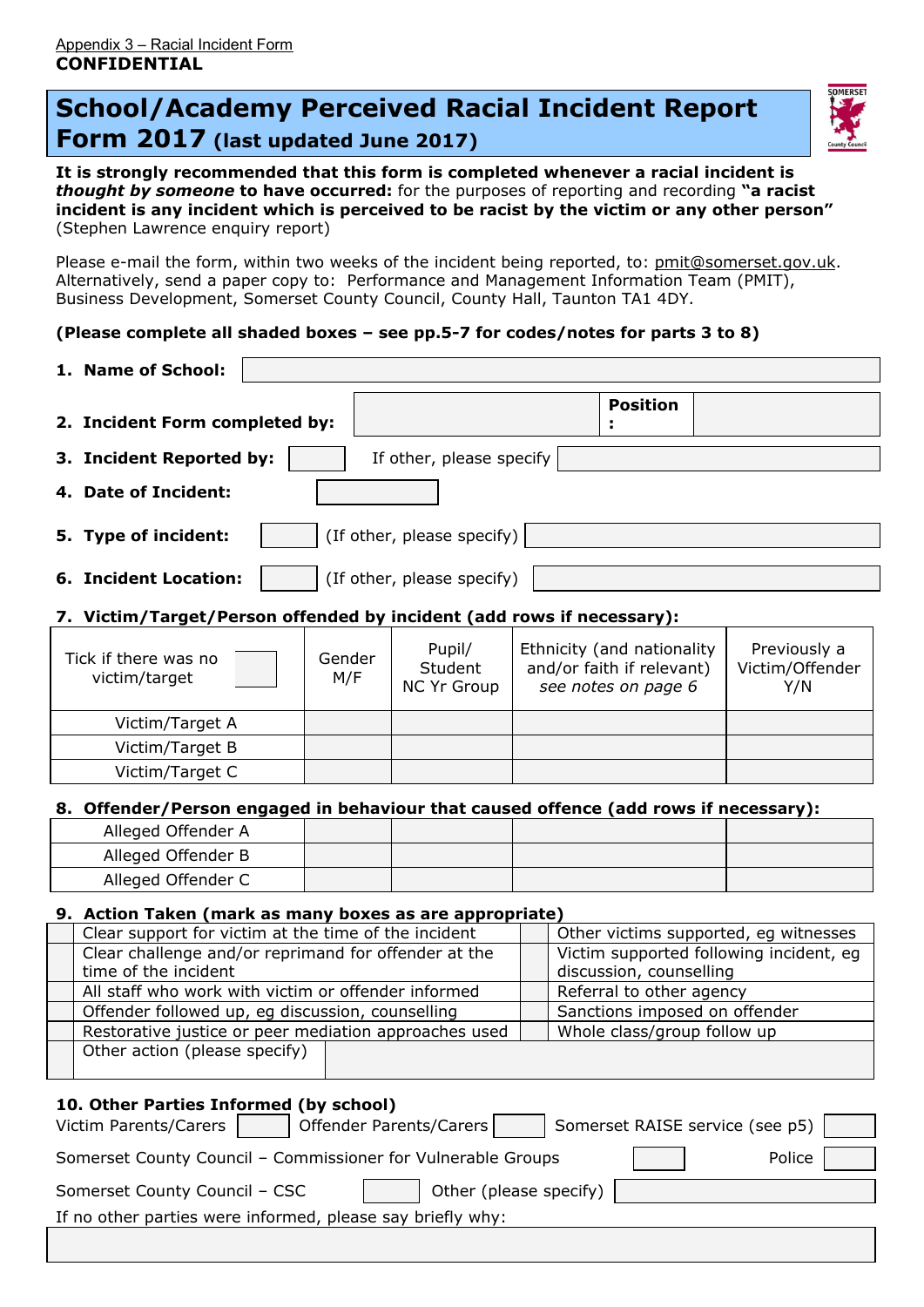# **School/Academy Perceived Racial Incident Report Form 2017 (last updated June 2017)**



**It is strongly recommended that this form is completed whenever a racial incident is** *thought by someone* **to have occurred:** for the purposes of reporting and recording **"a racist incident is any incident which is perceived to be racist by the victim or any other person"** (Stephen Lawrence enquiry report)

Please e-mail the form, within two weeks of the incident being reported, to: [pmit@somerset.gov.uk](mailto:pmit@somerset.gov.uk). Alternatively, send a paper copy to: Performance and Management Information Team (PMIT), Business Development, Somerset County Council, County Hall, Taunton TA1 4DY.

# **(Please complete all shaded boxes – see pp.5-7 for codes/notes for parts 3 to 8)**

| 1. Name of School:                                                                         |                          |        |                            |                                                           |                                                         |                                 |  |
|--------------------------------------------------------------------------------------------|--------------------------|--------|----------------------------|-----------------------------------------------------------|---------------------------------------------------------|---------------------------------|--|
|                                                                                            |                          |        |                            |                                                           | <b>Position</b>                                         |                                 |  |
| 2. Incident Form completed by:                                                             |                          |        |                            |                                                           |                                                         |                                 |  |
| 3. Incident Reported by:                                                                   | If other, please specify |        |                            |                                                           |                                                         |                                 |  |
| 4. Date of Incident:                                                                       |                          |        |                            |                                                           |                                                         |                                 |  |
|                                                                                            |                          |        |                            |                                                           |                                                         |                                 |  |
| 5. Type of incident:                                                                       |                          |        | (If other, please specify) |                                                           |                                                         |                                 |  |
| <b>6. Incident Location:</b>                                                               |                          |        | (If other, please specify) |                                                           |                                                         |                                 |  |
| 7. Victim/Target/Person offended by incident (add rows if necessary):                      |                          |        |                            |                                                           |                                                         |                                 |  |
|                                                                                            |                          |        |                            |                                                           |                                                         |                                 |  |
| Tick if there was no                                                                       |                          | Gender | Pupil/<br>Student          |                                                           | Ethnicity (and nationality<br>and/or faith if relevant) | Previously a<br>Victim/Offender |  |
| victim/target                                                                              |                          | M/F    | <b>NC Yr Group</b>         |                                                           | see notes on page 6                                     | Y/N                             |  |
|                                                                                            |                          |        |                            |                                                           |                                                         |                                 |  |
| Victim/Target A                                                                            |                          |        |                            |                                                           |                                                         |                                 |  |
| Victim/Target B                                                                            |                          |        |                            |                                                           |                                                         |                                 |  |
| Victim/Target C                                                                            |                          |        |                            |                                                           |                                                         |                                 |  |
| 8. Offender/Person engaged in behaviour that caused offence (add rows if necessary):       |                          |        |                            |                                                           |                                                         |                                 |  |
| Alleged Offender A                                                                         |                          |        |                            |                                                           |                                                         |                                 |  |
| Alleged Offender B                                                                         |                          |        |                            |                                                           |                                                         |                                 |  |
| Alleged Offender C                                                                         |                          |        |                            |                                                           |                                                         |                                 |  |
| 9. Action Taken (mark as many boxes as are appropriate)                                    |                          |        |                            |                                                           |                                                         |                                 |  |
| Clear support for victim at the time of the incident                                       |                          |        |                            |                                                           | Other victims supported, eg witnesses                   |                                 |  |
| Clear challenge and/or reprimand for offender at the                                       |                          |        |                            |                                                           | Victim supported following incident, eg                 |                                 |  |
| time of the incident<br>All staff who work with victim or offender informed                |                          |        |                            |                                                           | discussion, counselling                                 |                                 |  |
| Offender followed up, eg discussion, counselling                                           |                          |        |                            | Referral to other agency<br>Sanctions imposed on offender |                                                         |                                 |  |
| Restorative justice or peer mediation approaches used                                      |                          |        |                            |                                                           | Whole class/group follow up                             |                                 |  |
| Other action (please specify)                                                              |                          |        |                            |                                                           |                                                         |                                 |  |
|                                                                                            |                          |        |                            |                                                           |                                                         |                                 |  |
| 10. Other Parties Informed (by school)                                                     |                          |        |                            |                                                           |                                                         |                                 |  |
| Somerset RAISE service (see p5)<br>Offender Parents/Carers<br><b>Victim Parents/Carers</b> |                          |        |                            |                                                           |                                                         |                                 |  |
| Somerset County Council - Commissioner for Vulnerable Groups<br>Police                     |                          |        |                            |                                                           |                                                         |                                 |  |
| Somerset County Council - CSC<br>Other (please specify)                                    |                          |        |                            |                                                           |                                                         |                                 |  |
| If no other parties were informed, please say briefly why:                                 |                          |        |                            |                                                           |                                                         |                                 |  |
|                                                                                            |                          |        |                            |                                                           |                                                         |                                 |  |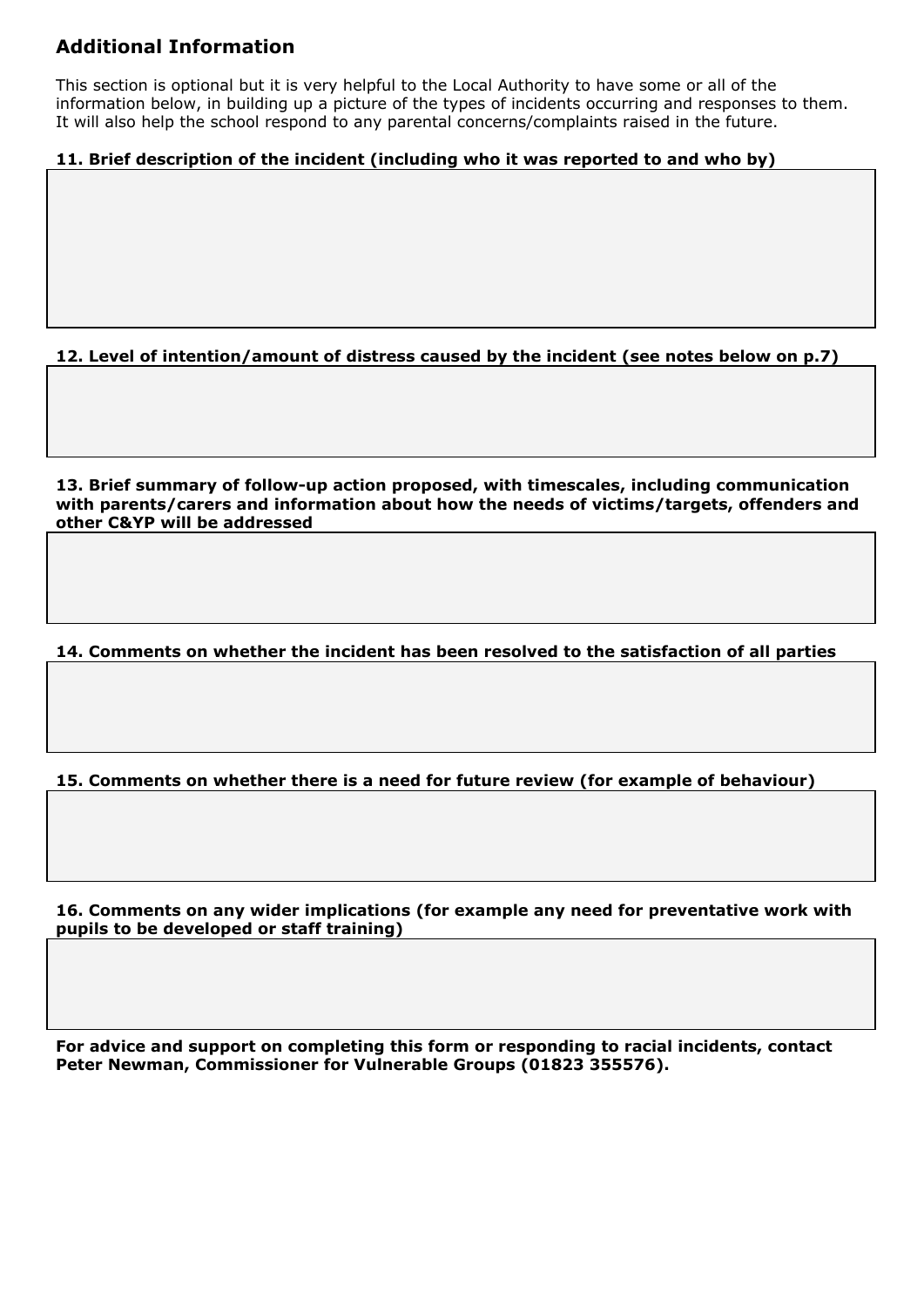# **Additional Information**

This section is optional but it is very helpful to the Local Authority to have some or all of the information below, in building up a picture of the types of incidents occurring and responses to them. It will also help the school respond to any parental concerns/complaints raised in the future.

# **11. Brief description of the incident (including who it was reported to and who by)**

**12. Level of intention/amount of distress caused by the incident (see notes below on p.7)**

**13. Brief summary of follow-up action proposed, with timescales, including communication with parents/carers and information about how the needs of victims/targets, offenders and other C&YP will be addressed**

**14. Comments on whether the incident has been resolved to the satisfaction of all parties**

**15. Comments on whether there is a need for future review (for example of behaviour)**

**16. Comments on any wider implications (for example any need for preventative work with pupils to be developed or staff training)**

**For advice and support on completing this form or responding to racial incidents, contact Peter Newman, Commissioner for Vulnerable Groups (01823 355576).**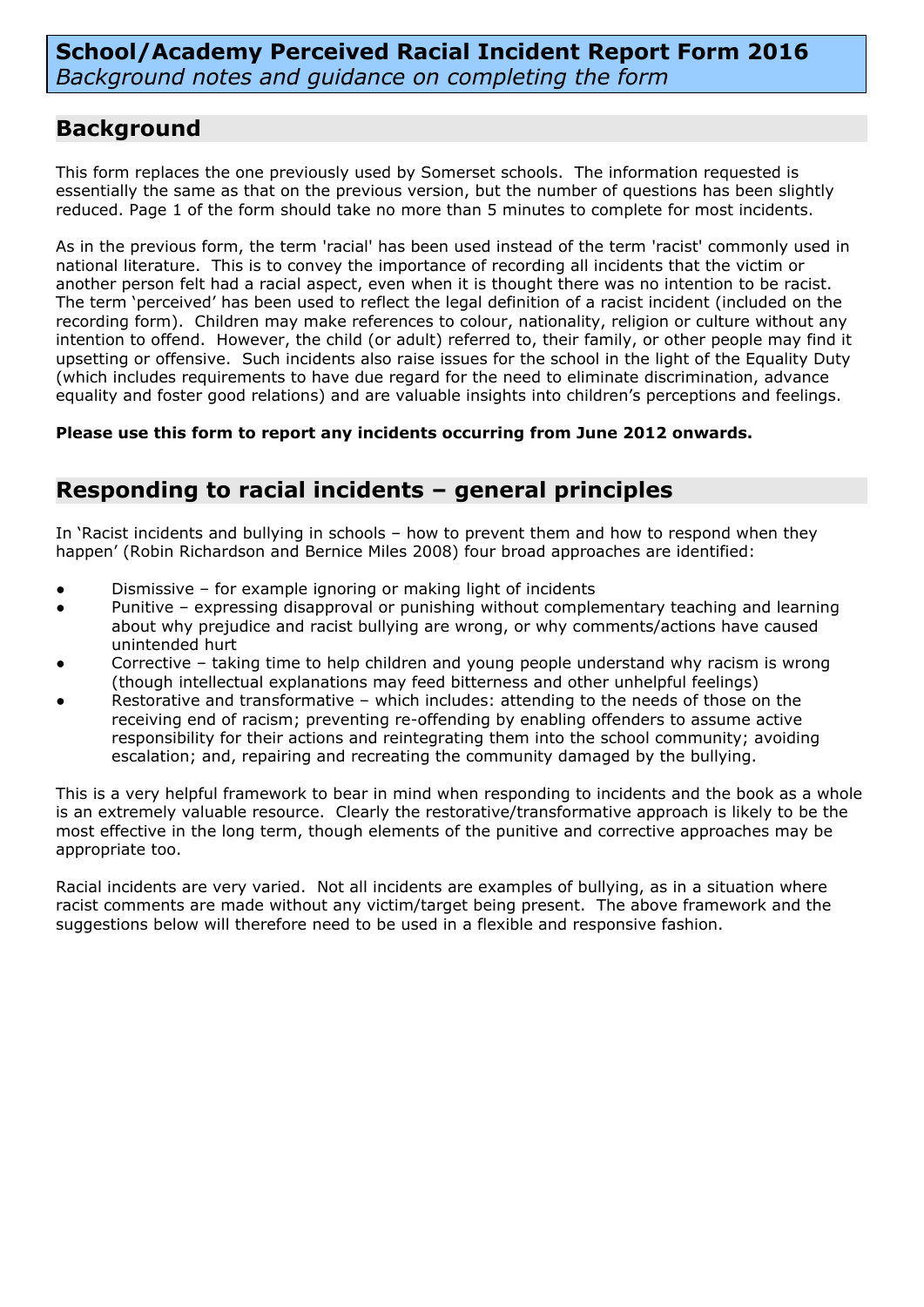**School/Academy Perceived Racial Incident Report Form 2016** *Background notes and guidance on completing the form*

# **Background**

This form replaces the one previously used by Somerset schools. The information requested is essentially the same as that on the previous version, but the number of questions has been slightly reduced. Page 1 of the form should take no more than 5 minutes to complete for most incidents.

As in the previous form, the term 'racial' has been used instead of the term 'racist' commonly used in national literature. This is to convey the importance of recording all incidents that the victim or another person felt had a racial aspect, even when it is thought there was no intention to be racist. The term 'perceived' has been used to reflect the legal definition of a racist incident (included on the recording form). Children may make references to colour, nationality, religion or culture without any intention to offend. However, the child (or adult) referred to, their family, or other people may find it upsetting or offensive. Such incidents also raise issues for the school in the light of the Equality Duty (which includes requirements to have due regard for the need to eliminate discrimination, advance equality and foster good relations) and are valuable insights into children's perceptions and feelings.

**Please use this form to report any incidents occurring from June 2012 onwards.**

# **Responding to racial incidents – general principles**

In 'Racist incidents and bullying in schools – how to prevent them and how to respond when they happen' (Robin Richardson and Bernice Miles 2008) four broad approaches are identified:

- Dismissive for example ignoring or making light of incidents
- Punitive expressing disapproval or punishing without complementary teaching and learning about why prejudice and racist bullying are wrong, or why comments/actions have caused unintended hurt
- Corrective taking time to help children and young people understand why racism is wrong (though intellectual explanations may feed bitterness and other unhelpful feelings)
- Restorative and transformative which includes: attending to the needs of those on the receiving end of racism; preventing re-offending by enabling offenders to assume active responsibility for their actions and reintegrating them into the school community; avoiding escalation; and, repairing and recreating the community damaged by the bullying.

This is a very helpful framework to bear in mind when responding to incidents and the book as a whole is an extremely valuable resource. Clearly the restorative/transformative approach is likely to be the most effective in the long term, though elements of the punitive and corrective approaches may be appropriate too.

Racial incidents are very varied. Not all incidents are examples of bullying, as in a situation where racist comments are made without any victim/target being present. The above framework and the suggestions below will therefore need to be used in a flexible and responsive fashion.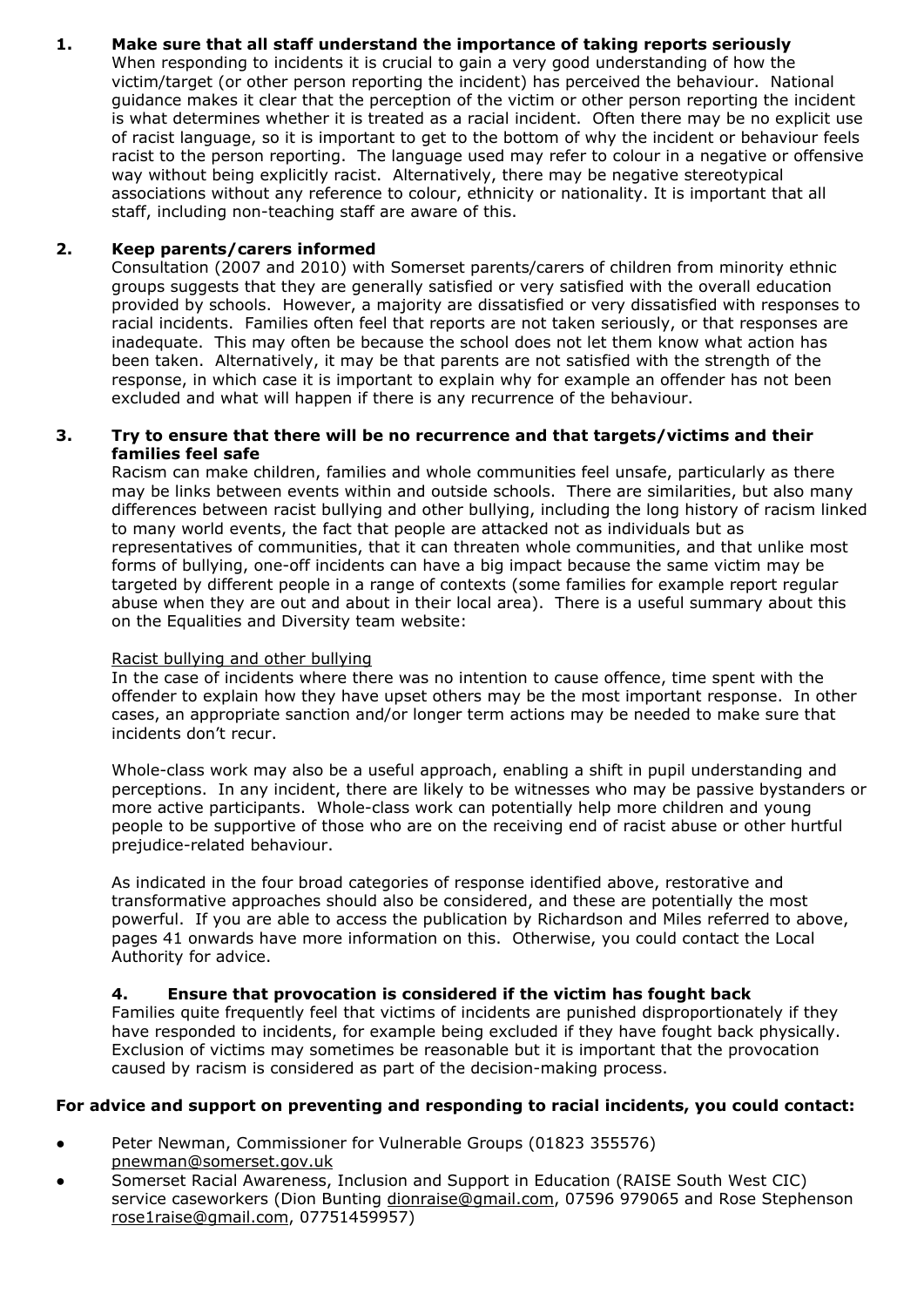# **1. Make sure that all staff understand the importance of taking reports seriously**

When responding to incidents it is crucial to gain a very good understanding of how the victim/target (or other person reporting the incident) has perceived the behaviour. National guidance makes it clear that the perception of the victim or other person reporting the incident is what determines whether it is treated as a racial incident. Often there may be no explicit use of racist language, so it is important to get to the bottom of why the incident or behaviour feels racist to the person reporting. The language used may refer to colour in a negative or offensive way without being explicitly racist. Alternatively, there may be negative stereotypical associations without any reference to colour, ethnicity or nationality. It is important that all staff, including non-teaching staff are aware of this.

# **2. Keep parents/carers informed**

Consultation (2007 and 2010) with Somerset parents/carers of children from minority ethnic groups suggests that they are generally satisfied or very satisfied with the overall education provided by schools. However, a majority are dissatisfied or very dissatisfied with responses to racial incidents. Families often feel that reports are not taken seriously, or that responses are inadequate. This may often be because the school does not let them know what action has been taken. Alternatively, it may be that parents are not satisfied with the strength of the response, in which case it is important to explain why for example an offender has not been excluded and what will happen if there is any recurrence of the behaviour.

#### **3. Try to ensure that there will be no recurrence and that targets/victims and their families feel safe**

Racism can make children, families and whole communities feel unsafe, particularly as there may be links between events within and outside schools. There are similarities, but also many differences between racist bullying and other bullying, including the long history of racism linked to many world events, the fact that people are attacked not as individuals but as representatives of communities, that it can threaten whole communities, and that unlike most forms of bullying, one-off incidents can have a big impact because the same victim may be targeted by different people in a range of contexts (some families for example report regular abuse when they are out and about in their local area). There is a useful summary about this on the Equalities and Diversity team website:

#### Racist bullying and other bullying

In the case of incidents where there was no intention to cause offence, time spent with the offender to explain how they have upset others may be the most important response. In other cases, an appropriate sanction and/or longer term actions may be needed to make sure that incidents don't recur.

Whole-class work may also be a useful approach, enabling a shift in pupil understanding and perceptions. In any incident, there are likely to be witnesses who may be passive bystanders or more active participants. Whole-class work can potentially help more children and young people to be supportive of those who are on the receiving end of racist abuse or other hurtful prejudice-related behaviour.

As indicated in the four broad categories of response identified above, restorative and transformative approaches should also be considered, and these are potentially the most powerful. If you are able to access the publication by Richardson and Miles referred to above, pages 41 onwards have more information on this. Otherwise, you could contact the Local Authority for advice.

# **4. Ensure that provocation is considered if the victim has fought back**

Families quite frequently feel that victims of incidents are punished disproportionately if they have responded to incidents, for example being excluded if they have fought back physically. Exclusion of victims may sometimes be reasonable but it is important that the provocation caused by racism is considered as part of the decision-making process.

# **For advice and support on preventing and responding to racial incidents, you could contact:**

- Peter Newman, Commissioner for Vulnerable Groups (01823 355576) [pnewman@somerset.gov.uk](mailto:pnewman@somerset.gov.uk)
- Somerset Racial Awareness, Inclusion and Support in Education (RAISE South West CIC) service caseworkers (Dion Bunting [dionraise@gmail.com](mailto:dionraise@gmail.com), 07596 979065 and Rose Stephenson [rose1raise@gmail.com](mailto:rose1raise@gmail.com), 07751459957)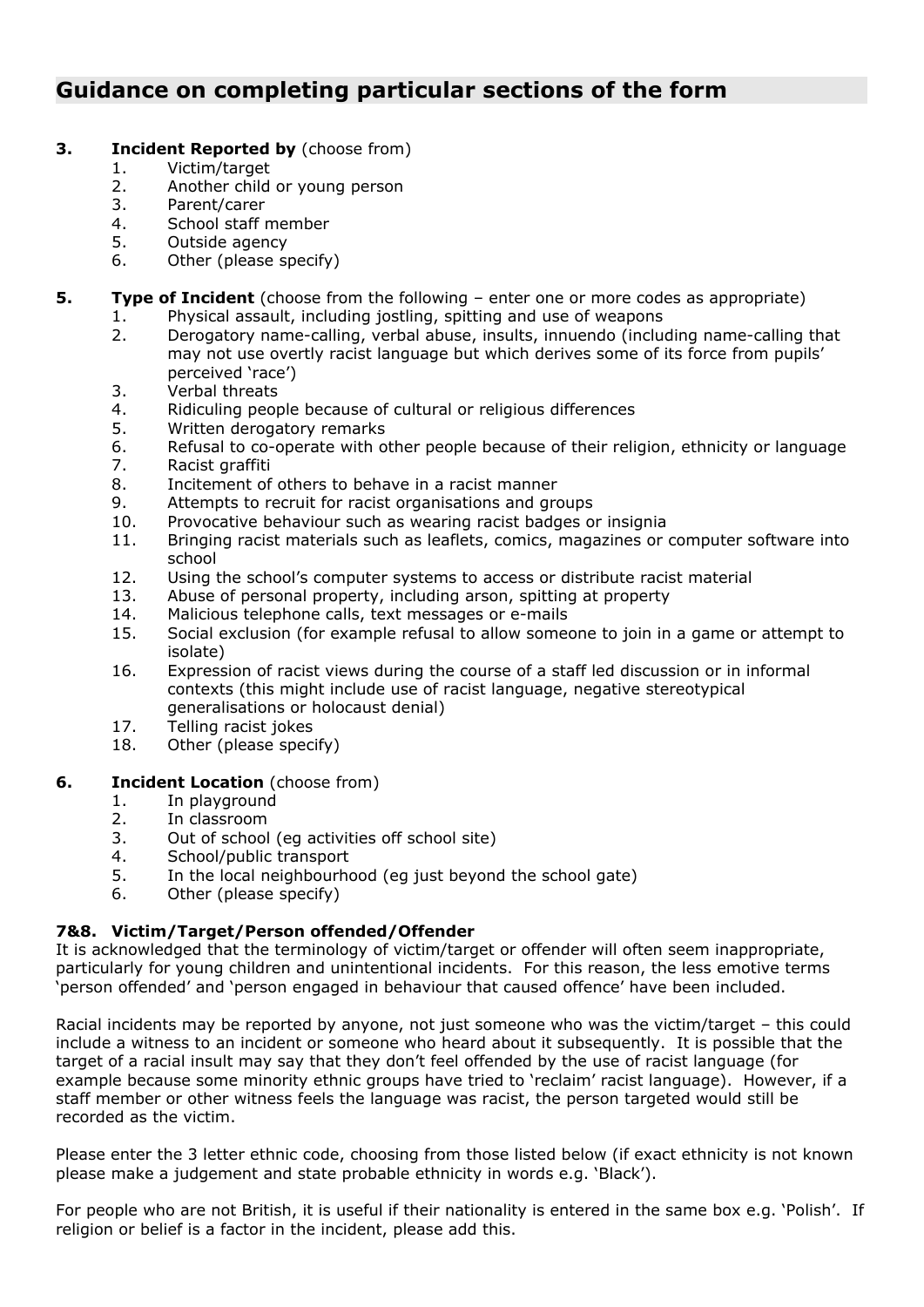# **Guidance on completing particular sections of the form**

# **3. Incident Reported by** (choose from)

- 1. Victim/target
- 2. Another child or young person
- 3. Parent/carer
- 4. School staff member
- 5. Outside agency
- 6. Other (please specify)
- **5. Type of Incident** (choose from the following enter one or more codes as appropriate)
	- 1. Physical assault, including jostling, spitting and use of weapons
	- 2. Derogatory name-calling, verbal abuse, insults, innuendo (including name-calling that may not use overtly racist language but which derives some of its force from pupils' perceived 'race')
	- 3. Verbal threats
	- 4. Ridiculing people because of cultural or religious differences
	- 5. Written derogatory remarks
	- 6. Refusal to co-operate with other people because of their religion, ethnicity or language
	- 7. Racist graffiti
	- 8. Incitement of others to behave in a racist manner
	- 9. Attempts to recruit for racist organisations and groups
	- 10. Provocative behaviour such as wearing racist badges or insignia
	- 11. Bringing racist materials such as leaflets, comics, magazines or computer software into school
	- 12. Using the school's computer systems to access or distribute racist material 13. Abuse of personal property, including arson, spitting at property
	- Abuse of personal property, including arson, spitting at property
	- 14. Malicious telephone calls, text messages or e-mails
	- 15. Social exclusion (for example refusal to allow someone to join in a game or attempt to isolate)
	- 16. Expression of racist views during the course of a staff led discussion or in informal contexts (this might include use of racist language, negative stereotypical generalisations or holocaust denial)
	- 17. Telling racist jokes
	- 18. Other (please specify)

# **6. Incident Location** (choose from)

- 1. In playground
- 2. In classroom
- 3. Out of school (eg activities off school site)
- 4. School/public transport
- 5. In the local neighbourhood (eg just beyond the school gate)
- 6. Other (please specify)

# **7&8. Victim/Target/Person offended/Offender**

It is acknowledged that the terminology of victim/target or offender will often seem inappropriate, particularly for young children and unintentional incidents. For this reason, the less emotive terms 'person offended' and 'person engaged in behaviour that caused offence' have been included.

Racial incidents may be reported by anyone, not just someone who was the victim/target – this could include a witness to an incident or someone who heard about it subsequently. It is possible that the target of a racial insult may say that they don't feel offended by the use of racist language (for example because some minority ethnic groups have tried to 'reclaim' racist language). However, if a staff member or other witness feels the language was racist, the person targeted would still be recorded as the victim.

Please enter the 3 letter ethnic code, choosing from those listed below (if exact ethnicity is not known please make a judgement and state probable ethnicity in words e.g. 'Black').

For people who are not British, it is useful if their nationality is entered in the same box e.g. 'Polish'. If religion or belief is a factor in the incident, please add this.